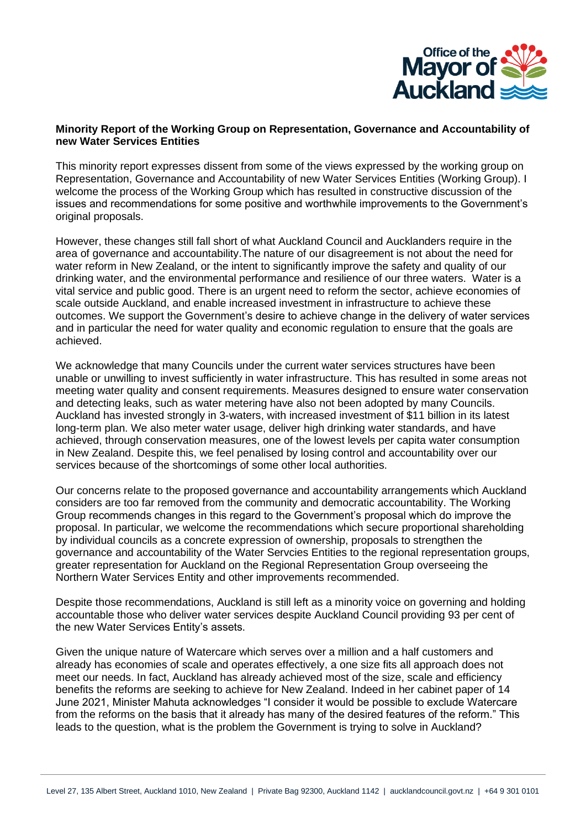

#### **Minority Report of the Working Group on Representation, Governance and Accountability of new Water Services Entities**

This minority report expresses dissent from some of the views expressed by the working group on Representation, Governance and Accountability of new Water Services Entities (Working Group). I welcome the process of the Working Group which has resulted in constructive discussion of the issues and recommendations for some positive and worthwhile improvements to the Government's original proposals.

However, these changes still fall short of what Auckland Council and Aucklanders require in the area of governance and accountability.The nature of our disagreement is not about the need for water reform in New Zealand, or the intent to significantly improve the safety and quality of our drinking water, and the environmental performance and resilience of our three waters. Water is a vital service and public good. There is an urgent need to reform the sector, achieve economies of scale outside Auckland, and enable increased investment in infrastructure to achieve these outcomes. We support the Government's desire to achieve change in the delivery of water services and in particular the need for water quality and economic regulation to ensure that the goals are achieved.

We acknowledge that many Councils under the current water services structures have been unable or unwilling to invest sufficiently in water infrastructure. This has resulted in some areas not meeting water quality and consent requirements. Measures designed to ensure water conservation and detecting leaks, such as water metering have also not been adopted by many Councils. Auckland has invested strongly in 3-waters, with increased investment of \$11 billion in its latest long-term plan. We also meter water usage, deliver high drinking water standards, and have achieved, through conservation measures, one of the lowest levels per capita water consumption in New Zealand. Despite this, we feel penalised by losing control and accountability over our services because of the shortcomings of some other local authorities.

Our concerns relate to the proposed governance and accountability arrangements which Auckland considers are too far removed from the community and democratic accountability. The Working Group recommends changes in this regard to the Government's proposal which do improve the proposal. In particular, we welcome the recommendations which secure proportional shareholding by individual councils as a concrete expression of ownership, proposals to strengthen the governance and accountability of the Water Servcies Entities to the regional representation groups, greater representation for Auckland on the Regional Representation Group overseeing the Northern Water Services Entity and other improvements recommended.

Despite those recommendations, Auckland is still left as a minority voice on governing and holding accountable those who deliver water services despite Auckland Council providing 93 per cent of the new Water Services Entity's assets.

Given the unique nature of Watercare which serves over a million and a half customers and already has economies of scale and operates effectively, a one size fits all approach does not meet our needs. In fact, Auckland has already achieved most of the size, scale and efficiency benefits the reforms are seeking to achieve for New Zealand. Indeed in her cabinet paper of 14 June 2021, Minister Mahuta acknowledges "I consider it would be possible to exclude Watercare from the reforms on the basis that it already has many of the desired features of the reform." This leads to the question, what is the problem the Government is trying to solve in Auckland?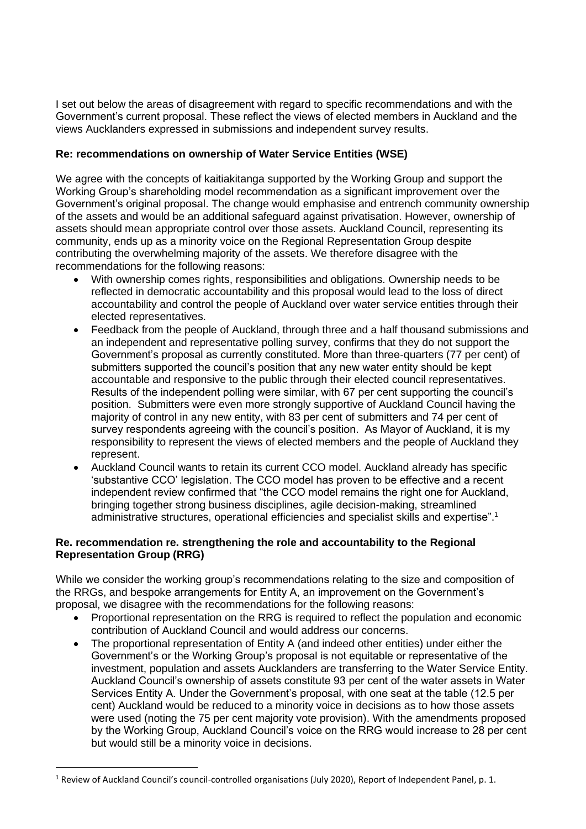I set out below the areas of disagreement with regard to specific recommendations and with the Government's current proposal. These reflect the views of elected members in Auckland and the views Aucklanders expressed in submissions and independent survey results.

# **Re: recommendations on ownership of Water Service Entities (WSE)**

We agree with the concepts of kaitiakitanga supported by the Working Group and support the Working Group's shareholding model recommendation as a significant improvement over the Government's original proposal. The change would emphasise and entrench community ownership of the assets and would be an additional safeguard against privatisation. However, ownership of assets should mean appropriate control over those assets. Auckland Council, representing its community, ends up as a minority voice on the Regional Representation Group despite contributing the overwhelming majority of the assets. We therefore disagree with the recommendations for the following reasons:

- With ownership comes rights, responsibilities and obligations. Ownership needs to be reflected in democratic accountability and this proposal would lead to the loss of direct accountability and control the people of Auckland over water service entities through their elected representatives.
- Feedback from the people of Auckland, through three and a half thousand submissions and an independent and representative polling survey, confirms that they do not support the Government's proposal as currently constituted. More than three-quarters (77 per cent) of submitters supported the council's position that any new water entity should be kept accountable and responsive to the public through their elected council representatives. Results of the independent polling were similar, with 67 per cent supporting the council's position. Submitters were even more strongly supportive of Auckland Council having the majority of control in any new entity, with 83 per cent of submitters and 74 per cent of survey respondents agreeing with the council's position. As Mayor of Auckland, it is my responsibility to represent the views of elected members and the people of Auckland they represent.
- Auckland Council wants to retain its current CCO model. Auckland already has specific 'substantive CCO' legislation. The CCO model has proven to be effective and a recent independent review confirmed that "the CCO model remains the right one for Auckland, bringing together strong business disciplines, agile decision-making, streamlined administrative structures, operational efficiencies and specialist skills and expertise".<sup>1</sup>

# **Re. recommendation re. strengthening the role and accountability to the Regional Representation Group (RRG)**

While we consider the working group's recommendations relating to the size and composition of the RRGs, and bespoke arrangements for Entity A, an improvement on the Government's proposal, we disagree with the recommendations for the following reasons:

- Proportional representation on the RRG is required to reflect the population and economic contribution of Auckland Council and would address our concerns.
- The proportional representation of Entity A (and indeed other entities) under either the Government's or the Working Group's proposal is not equitable or representative of the investment, population and assets Aucklanders are transferring to the Water Service Entity. Auckland Council's ownership of assets constitute 93 per cent of the water assets in Water Services Entity A. Under the Government's proposal, with one seat at the table (12.5 per cent) Auckland would be reduced to a minority voice in decisions as to how those assets were used (noting the 75 per cent majority vote provision). With the amendments proposed by the Working Group, Auckland Council's voice on the RRG would increase to 28 per cent but would still be a minority voice in decisions.

 $1$  Review of Auckland Council's council-controlled organisations (July 2020), Report of Independent Panel, p. 1.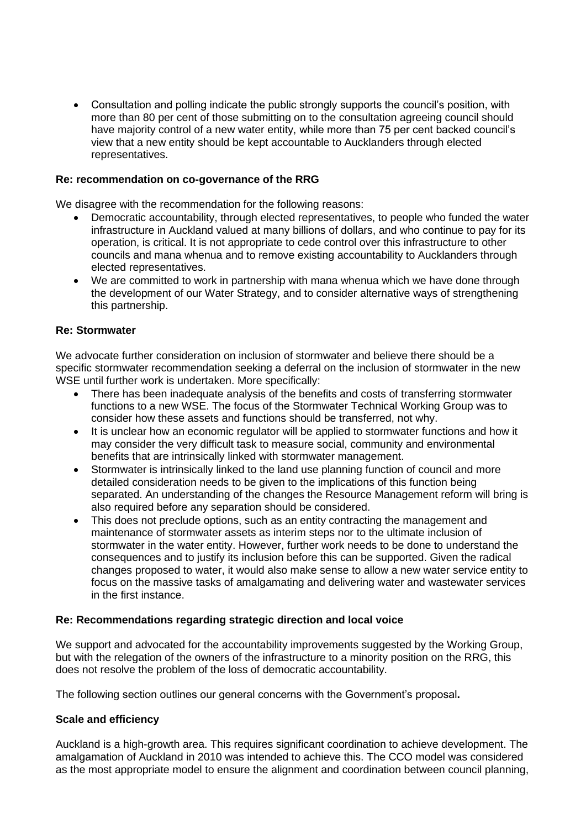• Consultation and polling indicate the public strongly supports the council's position, with more than 80 per cent of those submitting on to the consultation agreeing council should have majority control of a new water entity, while more than 75 per cent backed council's view that a new entity should be kept accountable to Aucklanders through elected representatives.

#### **Re: recommendation on co-governance of the RRG**

We disagree with the recommendation for the following reasons:

- Democratic accountability, through elected representatives, to people who funded the water infrastructure in Auckland valued at many billions of dollars, and who continue to pay for its operation, is critical. It is not appropriate to cede control over this infrastructure to other councils and mana whenua and to remove existing accountability to Aucklanders through elected representatives.
- We are committed to work in partnership with mana whenua which we have done through the development of our Water Strategy, and to consider alternative ways of strengthening this partnership.

#### **Re: Stormwater**

We advocate further consideration on inclusion of stormwater and believe there should be a specific stormwater recommendation seeking a deferral on the inclusion of stormwater in the new WSE until further work is undertaken. More specifically:

- There has been inadequate analysis of the benefits and costs of transferring stormwater functions to a new WSE. The focus of the Stormwater Technical Working Group was to consider how these assets and functions should be transferred, not why.
- It is unclear how an economic regulator will be applied to stormwater functions and how it may consider the very difficult task to measure social, community and environmental benefits that are intrinsically linked with stormwater management.
- Stormwater is intrinsically linked to the land use planning function of council and more detailed consideration needs to be given to the implications of this function being separated. An understanding of the changes the Resource Management reform will bring is also required before any separation should be considered.
- This does not preclude options, such as an entity contracting the management and maintenance of stormwater assets as interim steps nor to the ultimate inclusion of stormwater in the water entity. However, further work needs to be done to understand the consequences and to justify its inclusion before this can be supported. Given the radical changes proposed to water, it would also make sense to allow a new water service entity to focus on the massive tasks of amalgamating and delivering water and wastewater services in the first instance.

## **Re: Recommendations regarding strategic direction and local voice**

We support and advocated for the accountability improvements suggested by the Working Group, but with the relegation of the owners of the infrastructure to a minority position on the RRG, this does not resolve the problem of the loss of democratic accountability.

The following section outlines our general concerns with the Government's proposal**.**

#### **Scale and efficiency**

Auckland is a high-growth area. This requires significant coordination to achieve development. The amalgamation of Auckland in 2010 was intended to achieve this. The CCO model was considered as the most appropriate model to ensure the alignment and coordination between council planning,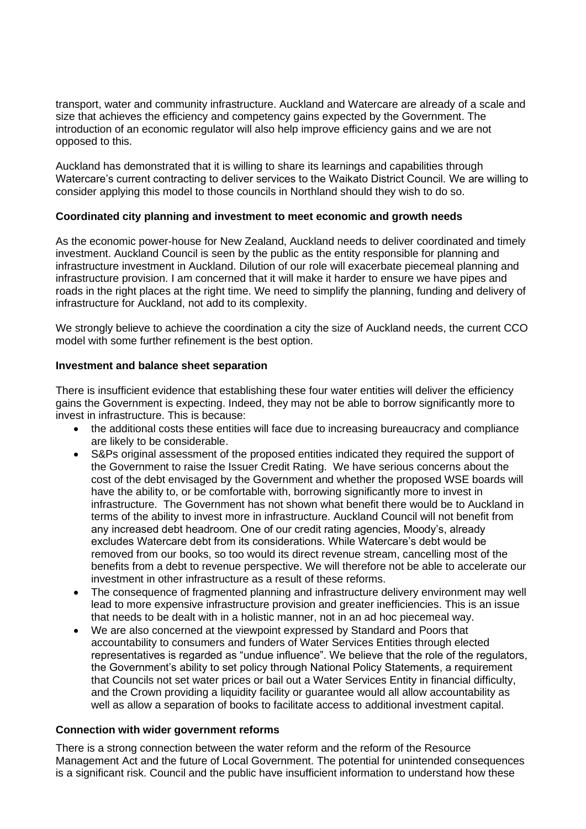transport, water and community infrastructure. Auckland and Watercare are already of a scale and size that achieves the efficiency and competency gains expected by the Government. The introduction of an economic regulator will also help improve efficiency gains and we are not opposed to this.

Auckland has demonstrated that it is willing to share its learnings and capabilities through Watercare's current contracting to deliver services to the Waikato District Council. We are willing to consider applying this model to those councils in Northland should they wish to do so.

# **Coordinated city planning and investment to meet economic and growth needs**

As the economic power-house for New Zealand, Auckland needs to deliver coordinated and timely investment. Auckland Council is seen by the public as the entity responsible for planning and infrastructure investment in Auckland. Dilution of our role will exacerbate piecemeal planning and infrastructure provision. I am concerned that it will make it harder to ensure we have pipes and roads in the right places at the right time. We need to simplify the planning, funding and delivery of infrastructure for Auckland, not add to its complexity.

We strongly believe to achieve the coordination a city the size of Auckland needs, the current CCO model with some further refinement is the best option.

## **Investment and balance sheet separation**

There is insufficient evidence that establishing these four water entities will deliver the efficiency gains the Government is expecting. Indeed, they may not be able to borrow significantly more to invest in infrastructure. This is because:

- the additional costs these entities will face due to increasing bureaucracy and compliance are likely to be considerable.
- S&Ps original assessment of the proposed entities indicated they required the support of the Government to raise the Issuer Credit Rating. We have serious concerns about the cost of the debt envisaged by the Government and whether the proposed WSE boards will have the ability to, or be comfortable with, borrowing significantly more to invest in infrastructure. The Government has not shown what benefit there would be to Auckland in terms of the ability to invest more in infrastructure. Auckland Council will not benefit from any increased debt headroom. One of our credit rating agencies, Moody's, already excludes Watercare debt from its considerations. While Watercare's debt would be removed from our books, so too would its direct revenue stream, cancelling most of the benefits from a debt to revenue perspective. We will therefore not be able to accelerate our investment in other infrastructure as a result of these reforms.
- The consequence of fragmented planning and infrastructure delivery environment may well lead to more expensive infrastructure provision and greater inefficiencies. This is an issue that needs to be dealt with in a holistic manner, not in an ad hoc piecemeal way.
- We are also concerned at the viewpoint expressed by Standard and Poors that accountability to consumers and funders of Water Services Entities through elected representatives is regarded as "undue influence". We believe that the role of the regulators, the Government's ability to set policy through National Policy Statements, a requirement that Councils not set water prices or bail out a Water Services Entity in financial difficulty, and the Crown providing a liquidity facility or guarantee would all allow accountability as well as allow a separation of books to facilitate access to additional investment capital.

## **Connection with wider government reforms**

There is a strong connection between the water reform and the reform of the Resource Management Act and the future of Local Government. The potential for unintended consequences is a significant risk. Council and the public have insufficient information to understand how these